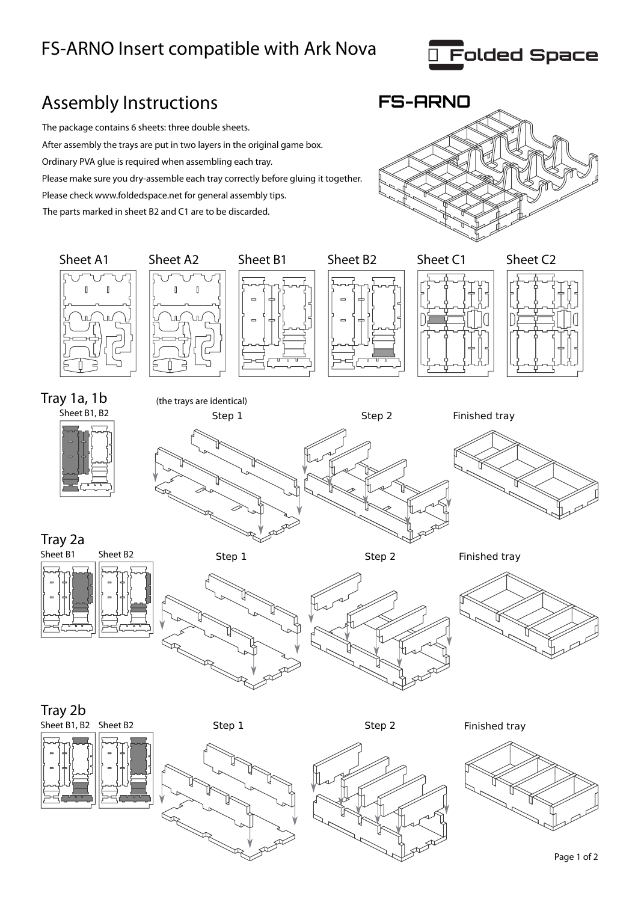## FS-ARNO Insert compatible with Ark Nova

**R** 



## Assembly Instructions **FS-ARNO** The package contains 6 sheets: three double sheets. After assembly the trays are put in two layers in the original game box. Ordinary PVA glue is required when assembling each tray. Please make sure you dry-assemble each tray correctly before gluing it together. Please check www.foldedspace.net for general assembly tips. The parts marked in sheet B2 and C1 are to be discarded. Sheet A1 Sheet A2 Sheet B1 Sheet B2 Sheet C1 Sheet C2  $\overline{\mathbb{I}}$  $\overline{\mathbb{I}}$  $\overline{\mathbb{R}}$ Tray 1a, 1b (the trays are identical) Sheet B1, B2 Step 1 Step 2 Finished tray Tray 2a Sheet B1 Sheet B2 Step 1 Step 2 Finished tray Tray 2b Sheet B1, B2 Sheet B2 Step 1 Step 2 Finished tray